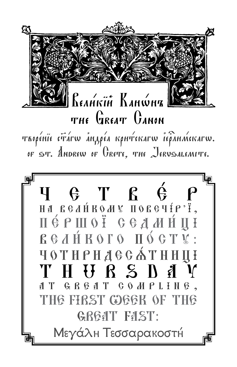

TROPÉNIE CTATW ANAPÉA KOHTCKATW IEPAHMEKATW. OF ST. ANDREW OF GRETE, THE JERUSALEMITE.

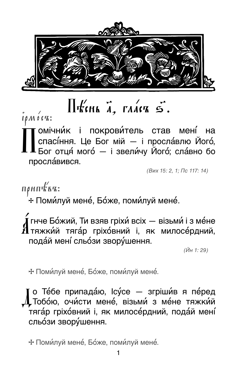

 $\Pi$ KINA  $\vec{a}$ , raack  $\vec{a}$ .

 $i\rho M$   $\acute{o}$   $cR$ :

гомічни́к і покрови́тель став мені́ на спасі́ння. Це Бог мій - і просла́влю Його́, Бог отця́ мого́ - і звели́чу Його́; сла́вно бо просла́вився.

(Вих 15: 2, 1; Пс 117: 14)

 $n\rho$ ип $k$ к $n$ :

\* Поми́луй мене́, Бо́же, поми́луй мене́.

[ гнче Бо́жий, Ти взяв гріхи́ всіх — візьми́ і з ме́не  $\bm{M}$ тяжки́й тяга́р гріхо́вний і, як милосе́рдний, подай мені сльози зворушення.

(Йн 1: 29)

\* Поми́луй мене́, Бо́же, поми́луй мене́.

о Те́бе припада́ю, Ісу́се — згріши́в я пе́ред LToбо́ю, очи́сти мене́, візьми́ з ме́не тяжки́й тяга́р гріхо́вний і, як милосе́рдний, пода́й мені́ сльози зворущення.

\* Поми́луй мене́, Бо́же, поми́луй мене́.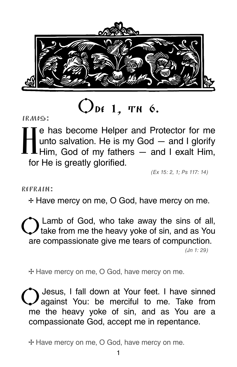

### $O$ de 1, tn 6.

irmos:

I e has become Helper and Protector for me<br>unto salvation. He is my God – and I glorify<br> unto salvation. He is my God — and I glorify **L**Him, God of my fathers  $-$  and I exalt Him, for He is greatly glorified.

(Ex 15: 2, 1; Ps 117: 14)

refrain:

**e** Have mercy on me, O God, have mercy on me.

Lamb of God, who take away the sins of all, I take from me the heavy yoke of sin, and as You are compassionate give me tears of compunction.

(Jn 1: 29)

**e** Have mercy on me, O God, have mercy on me.

Jesus, I fall down at Your feet. I have sinned against You: be merciful to me. Take from me the heavy yoke of sin, and as You are a compassionate God, accept me in repentance.

**e** Have mercy on me, O God, have mercy on me.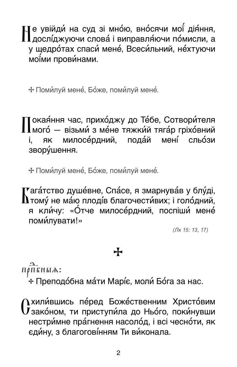Че увійди́ на суд зі мно́ю, вно́сячи мої́ дія́ння,  $\prod$ дослі́джуючи слова́ і виправля́ючи по́мисли, а у щедро́тах спаси́ мене́, Всеси́льний, не́хтуючи моїми провинами.

\* Поми́луй мене́, Бо́же, поми́луй мене́.

Гокая́ння час, прихо́джу до Те́бе, Сотвори́теля  $\mathbf 1$ мого́ — візьми́ з ме́не тяжки́й тяга́р гріхо́вний милосе́рдний, пода́й мені сльози **AK** i. – зворущення.

\* Поми́луй мене́, Бо́же, поми́луй мене́.

**Г**ага́тство душе́вне, Спа́се, я змарнува́в у блу́ді,  ${\bf h}$ тому́ не ма́ю плоді́в благочести́вих; і голо́дний, я кли́чу: «О́тче милосе́рдний, поспіши́ мене́ поми́лувати!»

 $($ Лк 15: 13, 17)

### $\div$

ПРПЕНЫА:

+ Преподо́бна ма́ти Марі́є, моли́ Бо́га за нас.

**) хили́вшись пе́ред Боже́ственним Христо́вим**  $\bf{U}$ зако́ном, ти приступи́ла до Ньо́го, поки́нувши нестримне прагнення насолод, і всі чесноти, як єдину, з благоговінням Ти виконала.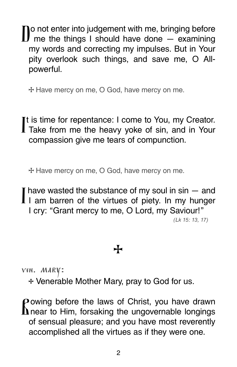Do not enter into judgement with me, bringing before me the things I should have done — examining my words and correcting my impulses. But in Your pity overlook such things, and save me, O Allpowerful.

**e** Have mercy on me, O God, have mercy on me.

It is time for repentance: I come to You, my Creator.<br>Take from me the heavy yoke of sin, and in Your compassion give me tears of compunction.

**e** Have mercy on me, O God, have mercy on me.

I have wasted the substance of my soul in sin – and I I am barren of the virtues of piety. In my hunger I cry: "Grant mercy to me, O Lord, my Saviour!" (Lk 15: 13, 17)

### **e**

ven. mary:

**e** Venerable Mother Mary, pray to God for us.

Powing before the laws of Christ, you have drawn  $\mathbf{\Omega}$  near to Him, forsaking the ungovernable longings of sensual pleasure; and you have most reverently accomplished all the virtues as if they were one.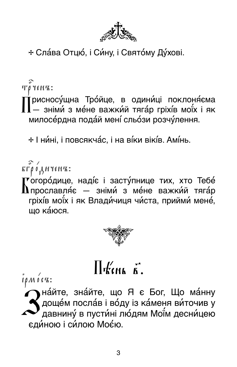

+ Сла́ва Отцю́, і Си́ну, і Свято́му Ду́хові.

TO YENK:

 $\dot{\bm{\mathsf{T}}}$ рисносу́щна Тро́йце, в одини́ці поклоня́єма  $\prod$ — зніми́ з ме́не важки́й тяга́р гріхі́в мої́х і як милосе́рдна пода́й мені́ сльо́зи розчу́лення.

\* І ни́ні, і повсякча́с, і на ві́ки вікі́в. Амі́нь.

**КГРОДНЧЕНЪ:** 

(<sup>▼</sup>огоро́дице, наді́є і засту́пнице тих, хто Тебе́  ${\bf h}$ прославляє — зніми з мене важкий тяга́р гріхів моїх і як Влади́чиця чи́ста, прийми́ мене́, шо ка́юся.



### $\prod_{k} f'_{k}$

 $\int$  $\int$  $\rho$  $M$  $\int$  $\int$  $\sigma$  $K$ :

Миайте, знайте, що Я є Бог, Що ма́нну<br>Марие́м посла́в і во́ду із ка́меня ви́точив у<br>Давнину́ в пусти́ні лю́дям Мої́м десни́цею єдиною і силою Моєю.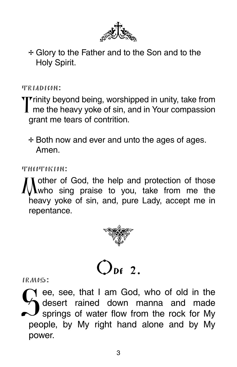

+ Glory to the Father and to the Son and to the Holy Spirit.

TRIADICON:

Trinity beyond being, worshipped in unity, take from  $\mathbf I$  me the heavy yoke of sin, and in Your compassion grant me tears of contrition.

+ Both now and ever and unto the ages of ages. Amen

THEOTOKION:

I other of God, the help and protection of those  $\Lambda$ who sing praise to you, take from me the heavy voke of sin, and, pure Lady, accept me in repentance.





 $IRMOS$ :

ee, see, that I am God, who of old in the desert rained down manna and made springs of water flow from the rock for My people, by My right hand alone and by My power.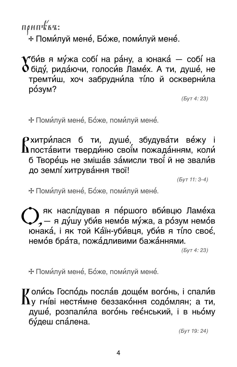$n\rho$ ип $k$ ва: \* Поми́луй мене́, Бо́же, поми́луй мене́.

 $\blacktriangledown$ би́в я му́жа собі́ на ра́ну, а юнака́ — собі́ на  $\mathbf 0$ біду́, рида́ючи, голоси́в Ламе́х. А ти, душе́, не тремти́ш, хоч забрудни́ла ті́ло й оскверни́ла розум?

 $(BVT 4:23)$ 

\* Поми́луй мене́, Бо́же, поми́луй мене́.

 $\mathsf P$ хитри́лася б ти, душе́, збудува́ти ве́жу і<br> $\mathsf \Lambda$ поста́вити тверди́ню свої́м пожада́нням, коли́ б Творе́ць не зміша́в за́мисли твої́ й не звали́в до землі хитрування твої!

 $(DVT 11: 3-4)$ 

\* Поми́луй мене́, Бо́же, поми́луй мене́.

 $\sum_{2}$ як наслі́дував я пе́ршого вби́вцю Ламе́ха<br> $\sum_{2}$ — я ду́шу уби́в немо́в му́жа, а ро́зум немо́в юнака, і як той Каїн-убивця, убив я тіло своє, немов брата, пожадливими бажаннями.

 $(BVT 4:23)$ 

\* Поми́луй мене́, Бо́же, поми́луй мене́.

 $\boldsymbol{U}$ оли́сь Госпо́дь посла́в доще́м вого́нь, і спали́в  $\mathbf{\mathbf{\Lambda}}$ у гні́ві нестя́мне беззако́ння содо́млян; а ти, душе, розпали́ла вого́нь геє́нський, і в ньо́му бу́деш спа́лена.

 $(ByT 19: 24)$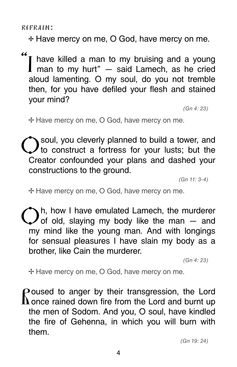refrain:

**e** Have mercy on me, O God, have mercy on me.

"I have killed a man to my bruising and a young I man to my hurt"  $-$  said Lamech, as he cried aloud lamenting. O my soul, do you not tremble then, for you have defiled your flesh and stained your mind?

(Gn 4: 23)

**e** Have mercy on me, O God, have mercy on me.

soul, you cleverly planned to build a tower, and to construct a fortress for your lusts; but the Creator confounded your plans and dashed your constructions to the ground.

(Gn 11: 3-4)

**e** Have mercy on me, O God, have mercy on me.

 $\bigodot$ h, how I have emulated Lamech, the murderer of old, slaying my body like the man  $-$  and my mind like the young man. And with longings for sensual pleasures I have slain my body as a brother, like Cain the murderer.

(Gn 4: 23)

**e** Have mercy on me, O God, have mercy on me.

 $P$  oused to anger by their transgression, the Lord **L** once rained down fire from the Lord and burnt up the men of Sodom. And you, O soul, have kindled the fire of Gehenna, in which you will burn with them.

(Gn 19: 24)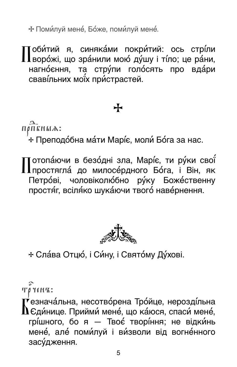\* Поми́луй мене́, Бо́же, поми́луй мене́.

Поби́тий я, синяка́ми покри́тий: ось стрі́ли<br>Пворо́жі, що зра́нили мою́ ду́шу і ті́ло; це ра́ни, нагноєння, та стру́пи голосять про вда́ри свавільних моїх пристрастей.

### ╈

ПОПЕНЫА:

+ Преподо́бна ма́ти Марі́є, моли́ Бо́га за нас.

Тотопа́ючи в безо́дні зла, Марі́є, ти ру́ки свої́ простягла́ до милосе́рдного Бо́га, і Він, як Петрові, чоловіколюбно руку Божественну простя́г, всіля́ко шука́ючи твого́ наве́рнення.



+ Сла́ва Отцю́, і Си́ну, і Свято́му Ду́хові.

*Τρ ΥεΝ Έ*:

₹езнача́льна, несотво́рена Тро́йце, нерозді́льна  $\mathbf{\Lambda}$ Єди́нице. Прийми́ мене́, що ка́юся, спаси́ мене́, грі́шного, бо я - Твоє́ творі́ння; не відки́нь мене, але поми́луй і ви́зволи від вогне́нного засудження.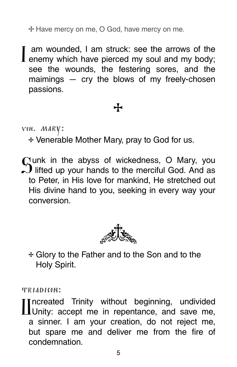**e** Have mercy on me, O God, have mercy on me.

I am wounded, I am struck: see the arrows of the enemy which have pierced my soul and my body; see the wounds, the festering sores, and the maimings — cry the blows of my freely-chosen passions.

#### **e**

ven. mary:

**e** Venerable Mother Mary, pray to God for us.

 $C$  unk in the abyss of wickedness, O Mary, you  $\tilde{L}$  lifted up your hands to the merciful God. And as to Peter, in His love for mankind, He stretched out His divine hand to you, seeking in every way your conversion.



**e** Glory to the Father and to the Son and to the Holy Spirit.

triadicon:

Uncreated Trinity without beginning, undivided **Ill** Unity: accept me in repentance, and save me, a sinner. I am your creation, do not reject me, but spare me and deliver me from the fire of condemnation.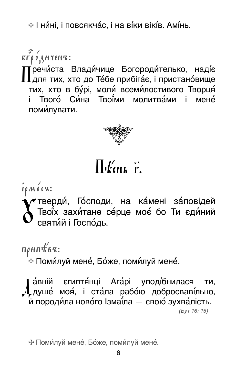\* І ни́ні, і повсякча́с, і на ві́ки вікі́в. Амі́нь.

**КГРОДНЧЕНЪ:** .<br>Гречи́ста Влади́чице Богороди́телько, наді́є  $\blacksquare$  Для тих, хто до Те́бе прибіга́є, і пристано́вище тих, хто в бурі, моли всемилостивого Творця Твого́ Си́на Твої́ми молитвами і мене́ i. поми́лувати.



### $\prod$  KCHL  $\vec{r}$ .

 $I \rho M$   $0$   $C$ <sup> $K$ </sup>:

**≁**тверди́, Го́споди, на ка́мені за́повідей<br>) Твої́х захи́тане се́рце моє́ бо Ти єди́ний<br>) святи́й і Госпо́дь.

 $n\rho$ ип $k$ ка:

,<br>'∻ Поми́луй мене́, Бо́же, поми́луй мене́.

́а́вній єгиптя́нці Ага́рі уподі́бнилася ти,  $\Lambda$ душе́ моя́, і ста́ла рабо́ю добросваві́льно, ́й породи́ла ново́го Ізмаї́ла — свою́ зухва́лість.  $(BVT 16:15)$ 

\* Поми́луй мене́, Бо́же, поми́луй мене́.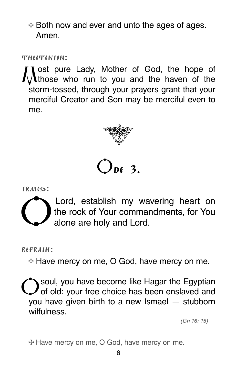**e** Both now and ever and unto the ages of ages. Amen.

 $THCOIT$ okion:

I ost pure Lady, Mother of God, the hope of **T** those who run to you and the haven of the storm-tossed, through your prayers grant that your merciful Creator and Son may be merciful even to me.



## ODE 3.

irmos:



Lord, establish my wavering heart on<br>the rock of Your commandments, for You<br>alone are bely and Lord the rock of Your commandments, for You alone are holy and Lord.

refrain:

**e** Have mercy on me, O God, have mercy on me.

soul, you have become like Hagar the Egyptian of old: your free choice has been enslaved and you have given birth to a new Ismael — stubborn wilfulness.

(Gn 16: 15)

**e** Have mercy on me, O God, have mercy on me.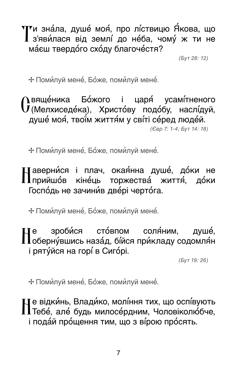$\mathbf{T}$ и зна́ла, душе́ моя́, про лі́ствицю Я́кова, що<br> $\mathbf{T}$ з'яви́лася від землі́ до не́ба, чому́ ж ти не маєш твердого сходу благочестя?

(Бут 28: 12)

**e** Помилуй мене, Боже, помилуй мене.

Овяще́ника Бо́жого і царя́ усамі́тненого<br>О́(Мелхиседе́ка), Христо́ву подо́бу, наслі́дуй, душе моя, твоїм життям у світі серед людей. (Євр 7: 1-4; Бут 14: 18)

**+ Поми́луй мене́, Бо́же, поми́луй мене́.** 

 $\prod$ аверни́ся і плач, окая́нна душе́, до́ки не<br>Пприйшо́в кіне́ць торжества́ життя́, до́ки Господь не зачинив двері чертога.

**e** Помилуй мене, Боже, помилуй мене.

Не зроби́ся сто́впом соля́ним, душе́,<br>Поберну́вшись наза́д, бі́йся при́кладу содомля́н і ряту́йся на горі́ в Сиго́рі.

(Бут 19: 26)

**e** Помилуй мене, Боже, помилуй мене.

не відкинь, Владико, моління тих, що оспівують Тебе, але будь милосердним, Чоловіколюбче, і пода́й про́щення тим, що з ві́рою про́сять.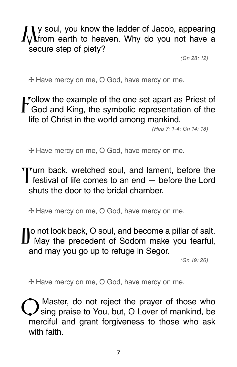y soul, you know the ladder of Jacob, appearing from earth to heaven. Why do you not have a secure step of piety?

(Gn 28: 12)

**e** Have mercy on me, O God, have mercy on me.

Tollow the example of the one set apart as Priest of T God and King, the symbolic representation of the life of Christ in the world among mankind.

(Heb 7: 1-4; Gn 14: 18)

**e** Have mercy on me, O God, have mercy on me.

Turn back, wretched soul, and lament, before the festival of life comes to an end — before the Lord shuts the door to the bridal chamber.

**e** Have mercy on me, O God, have mercy on me.

**To not look back, O soul, and become a pillar of salt. J** May the precedent of Sodom make you fearful, and may you go up to refuge in Segor.

(Gn 19: 26)

**e** Have mercy on me, O God, have mercy on me.

Master, do not reject the prayer of those who sing praise to You, but, O Lover of mankind, be merciful and grant forgiveness to those who ask with faith.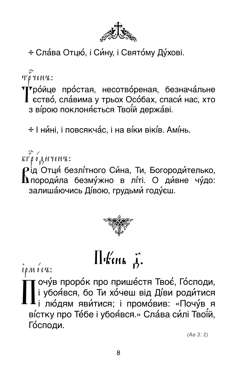

+ Сла́ва Отцю́, і Си́ну, і Свято́му Ду́хові.

*Τργεηπ***:** 

үгро́йце про́стая, несотво́реная, безнача́льне<br>Пество́, сла́вима у трьох Осо́бах, спаси́ нас, хто з ві́рою поклоняється Твої́й держа́ві.

\* І ни́ні, і повсякча́с, і на ві́ки вікі́в. Амі́нь.

 $\overbrace{\text{R}\Gamma\rho}^{\text{max}}$   $\overbrace{\text{R}}^{\text{max}}$ 

Рід Отця́ безлі́тного Си́на, Ти, Богороди́телько,<br>Дпороди́ла безму́жно в лі́ті. О ди́вне чу́до: залишаючись Дівою, грудьми годуєш.



## $\prod$  Kenk  $\vec{A}$ .

 $i\rho M$   $o$   $cR$ :

вістку про Те́бе і убоя́вся.» Сла́ва си́лі Твої́й, Господи.

 $(AB 3: 2)$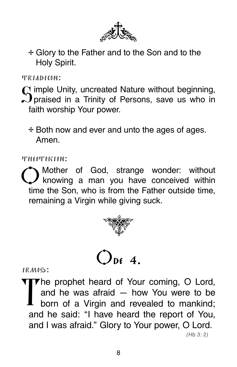

+ Glory to the Father and to the Son and to the Holy Spirit.

TRIADICON:

C imple Unity, uncreated Nature without beginning,  $\mathfrak{D}$  praised in a Trinity of Persons, save us who in faith worship Your power.

+ Both now and ever and unto the ages of ages. Amen

THEOTOKION:

Mother of God, strange wonder: without  $\boldsymbol{J}$  knowing a man you have conceived within time the Son, who is from the Father outside time, remaining a Virgin while giving suck.





IRMOS:

The prophet heard of Your coming, O Lord, and he was afraid  $-$  how You were to be born of a Virgin and revealed to mankind; and he said: "I have heard the report of You, and I was afraid." Glory to Your power, O Lord.

 $(Hb 3:2)$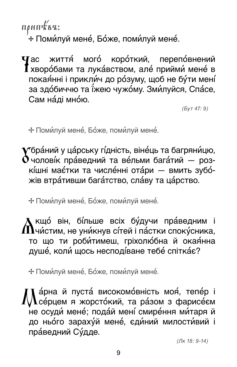прип $k$ ви: \* Поми́луй мене́, Бо́же, поми́луй мене́.

 $\mathbf T$ ас життя́ мого́ коро́ткий, перепо́внений I хворобами та лукавством, але прийми мене в покаянні і прикли́ч до ро́зуму, щоб не бу́ти мені́ за здобиччю та їжею чужому. Зми́луйся, Спа́се, Сам на́ді мно́ю.

 $(bvr 47: 9)$ 

\* Поми́луй мене́, Бо́же, поми́луй мене́.

 $\blacktriangledown$ бра́ний у ца́рську гі́дність, віне́ць та багряни́цю,  $\mathbf \delta$ чолові́к пра́ведний та ве́льми бага́тий — розкішні має́тки та числе́нні ота́ри - вмить зубо́жів втра́тивши бага́тство, сла́ву та ца́рство.

\* Поми́луй мене́, Бо́же, поми́луй мене́.

 $\blacktriangle$ кщо́ він, бі́льше всіх бу́дучи пра́ведним і  $\mathbf \Lambda$ чи́стим, не уни́кнув сі́тей і па́стки споку́сника, то що ти роби́тимеш, гріхолю́бна й окая́нна душе, коли щось несподіване тебе спіткає?

\* Поми́луй мене́, Бо́же, поми́луй мене́.

а́рна й пуста́ високомо́вність моя́, тепе́р і  $\Lambda$ се́рцем я жорсто́кий, та ра́зом з фарисе́єм не осуди́ мене́; пода́й мені́ смире́ння ми́таря й до ньо́го зараху́й мене́, єди́ний милости́вий і праведний Судде.

 $($ Лк 18:9-14)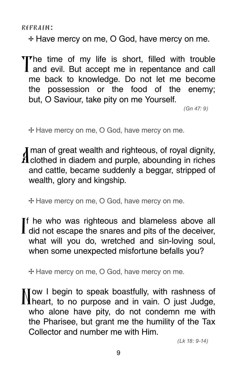refrain:

**e** Have mercy on me, O God, have mercy on me.

The time of my life is short, filled with trouble<br>I and evil. But accept me in repentance and call me back to knowledge. Do not let me become the possession or the food of the enemy; but, O Saviour, take pity on me Yourself.

(Gn 47: 9)

**e** Have mercy on me, O God, have mercy on me.

I man of great wealth and righteous, of royal dignity,  $\boldsymbol{\mathit{H}}$  clothed in diadem and purple, abounding in riches and cattle, became suddenly a beggar, stripped of wealth, glory and kingship.

**e** Have mercy on me, O God, have mercy on me.

If he who was righteous and blameless above all  $\mathbf I$  did not escape the snares and pits of the deceiver, what will you do, wretched and sin-loving soul, when some unexpected misfortune befalls you?

**e** Have mercy on me, O God, have mercy on me.

Tow I begin to speak boastfully, with rashness of heart, to no purpose and in vain. O just Judge, who alone have pity, do not condemn me with the Pharisee, but grant me the humility of the Tax Collector and number me with Him.

(Lk 18: 9-14)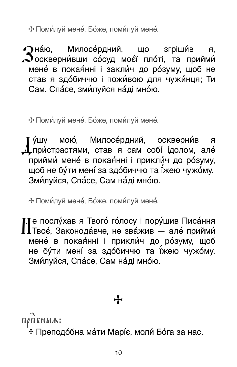\* Поми́луй мене́, Бо́же, поми́луй мене́.

Пна́ю. Милосе́рдний. що згріши́в  $A<sub>c</sub>$  $\boldsymbol{\mathcal{S}}$ оскверни́вши со́суд моє́ї пло́ті, та прийми́ мене в покаянні і закли́ч до ро́зуму, щоб не став я здобиччю і поживою для чужинця; Ти Сам, Спасе, змилуйся наді мною.

\* Поми́луй мене́, Бо́же, поми́луй мене́.

у́шу мою́, Милосе́рдний, оскверни́в  $\mathbf{a}$ Гпристрастями, став я сам собі ідолом, але прийми мене в покаянні і прикли́ч до розуму, щоб не бу́ти мені́ за здо́биччю та ї́жею чужо́му. Зми́луйся, Спа́се, Сам на́ді мно́ю.

\* Поми́луй мене́, Бо́же, поми́луй мене́.

.<br>| е послу́хав я Твого́ го́лосу і пору́шив Писа́ння Плвое, Законода́вче, не зва́жив - але́ прийми́ мене в покаянні і прикли́ч до розуму, щоб не бу́ти мені́ за здо́биччю та ї́жею чужо́му. Зми́луйся, Спа́се, Сам на́ді мно́ю.

ПОПЕНЫА:

\* Преподо́бна ма́ти Марі́є, моли́ Бо́га за нас.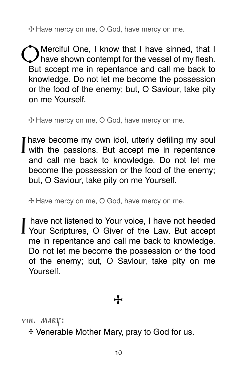**e** Have mercy on me, O God, have mercy on me.

CO Merciful One, I know that I have sinned, that I have shown contempt for the vessel of my flesh. But accept me in repentance and call me back to knowledge. Do not let me become the possession or the food of the enemy; but, O Saviour, take pity on me Yourself.

**e** Have mercy on me, O God, have mercy on me.

I have become my own idol, utterly defiling my soul<br>I with the passions. But accept me in repentance and call me back to knowledge. Do not let me become the possession or the food of the enemy; but, O Saviour, take pity on me Yourself.

**e** Have mercy on me, O God, have mercy on me.

I have not listened to Your voice, I have not heeded Your Scriptures, O Giver of the Law. But accept me in repentance and call me back to knowledge. Do not let me become the possession or the food of the enemy; but, O Saviour, take pity on me **Yourself** 

**e**

ven. mary:

**e** Venerable Mother Mary, pray to God for us.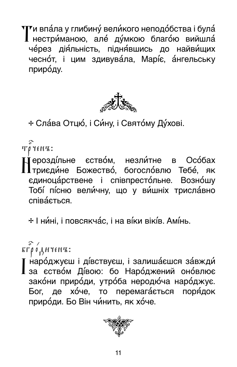$\P^\blacktriangledown$ и впа́ла у глибину́ вели́кого неподо́бства і була́ П нестриманою, але думкою благою вийшла че́рез дія́льність, підня́вшись до найви́щих чесно́т, і цим здивува́ла, Маріє, а́нгельську приро́ду.



+ Сла́ва Отцю́, і Си́ну, і Свято́му Ду́хові.

Τργεκα:

∐́ерозді́льне єство́м, незли́тне в Осо́бах<br>∏триєди́не Божество́, богосло́влю Тебе́, як єдиноца́рствене і співпресто́льне. Возно́шу Тобі пісню величну, що у вишніх триславно співається.

\* І ни́ні. і повсякча́с. і на ві́ки вікі́в. Амі́нь.

**КГРОДНЧЕНЪ:** 

маро́джуєш і ді́вствуєш, і залиша́єшся за́вжди́ 1 за єством Дівою: бо Народжений оновлює зако́ни приро́ди, утро́ба неродю́ча наро́джує. Бог, де хо́че, то перемагаеться поря́док природи. Бо Він чинить, як хоче.

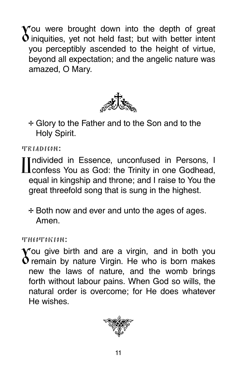You were brought down into the depth of great  $\mathbf 0$  iniquities, yet not held fast; but with better intent you perceptibly ascended to the height of virtue, beyond all expectation; and the angelic nature was amazed, O Mary.



**e** Glory to the Father and to the Son and to the Holy Spirit.

triadicon:

Undivided in Essence, unconfused in Persons, I confess You as God: the Trinity in one Godhead, equal in kingship and throne; and I raise to You the great threefold song that is sung in the highest.

**e** Both now and ever and unto the ages of ages. Amen.

theotokion:

 $\mathbf V$ ou give birth and are a virgin, and in both you  $\mathbf 0$  remain by nature Virgin. He who is born makes new the laws of nature, and the womb brings forth without labour pains. When God so wills, the natural order is overcome; for He does whatever He wishes.

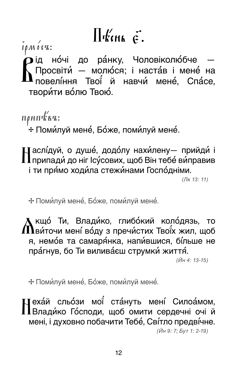## $\prod$  Kink  $\vec{\epsilon}$ .

 $\int$  $\int$  $\rho$  $M$  $\int$  $\int$  $\Gamma$  $K$ :

лисед.<br>О ід мо́чі до ра́нку, Чоловіколю́бче —<br>Д Просвіти́ — молю́ся; і наста́в і мене́ на<br>Д повелі́ння Твої́ й навчи́ мене́, Спа́се, творити волю Твою.

 $n\rho$ ип $k$ к $n$ : \* Поми́луй мене́, Бо́же, поми́луй мене́.

∐аслі́дуй, о душе́, додо́лу нахи́лену— прийди́ і<br>∏припади́ до ніг Ісу́сових, щоб Він тебе́ ви́правив і ти прямо ходи́ла стежи́нами Госпо́дніми.

 $($ Лк 13:11)

\* Поми́луй мене́, Бо́же, поми́луй мене́.

 $\blacktriangle$  кщо́ Ти, Влади́ко, глибо́кий коло́дязь, то  $\bf{\Omega}$ ви́точи мені́ во́ду з пречи́стих Твої́х жил, щоб я, немов та самаря́нка, напи́вшися, бі́льше не пра́гнув, бо Ти виливаеш струмки життя́.

 $(\check{M}H4: 13-15)$ 

\* Поми́луй мене́, Бо́же, поми́луй мене́.

**Цеха́й сльо́зи мої́ ста́нуть мені́ Силоа́мом,** Пвлади́ко Го́споди, щоб омити сердечні очі й мені, і духовно побачити Тебе, Світло предвічне.

(Йн 9: 7; Бут 1: 2-19)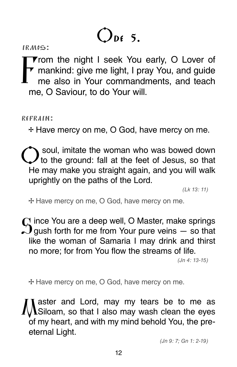# $Q_{\text{DE}}$  5.

**From the night I seek You early, O Lover of<br>F mankind: give me light, I pray You, and guide<br>me also in Your commandments, and togeh** mankind: give me light, I pray You, and guide me also in Your commandments, and teach me, O Saviour, to do Your will.

refrain:

**e** Have mercy on me, O God, have mercy on me.

soul, imitate the woman who was bowed down to the ground: fall at the feet of Jesus, so that He may make you straight again, and you will walk uprightly on the paths of the Lord.

(Lk 13: 11)

**e** Have mercy on me, O God, have mercy on me.

 $\Omega$  ince You are a deep well, O Master, make springs  $\tilde{L}$  gush forth for me from Your pure veins  $-$  so that like the woman of Samaria I may drink and thirst no more; for from You flow the streams of life.

(Jn 4: 13-15)

**e** Have mercy on me, O God, have mercy on me.

aster and Lord, may my tears be to me as Siloam, so that I also may wash clean the eyes of my heart, and with my mind behold You, the preeternal Light.

(Jn 9: 7; Gn 1: 2-19)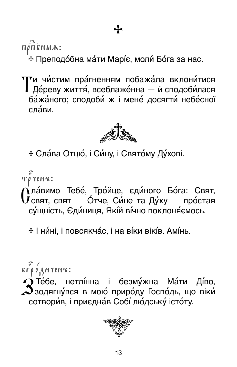ПОПЕНЫА:

+ Преподо́бна ма́ти Марі́є, моли́ Бо́га за нас.

 $\mathbf{T}$ и чи́стим пра́гненням побажа́ла вклони́тися<br>Да́реву життя́, всеблаже́нна — й сподоби́лася бажаного; сподоби ж і мене досягти небесної сла́ви



+ Сла́ва Отцю́, і Си́ну, і Свято́му Ду́хові.

Τργεκα:

 $\vec{\mathrm{Q}}$ ла́вимо Тебе́, Тро́йце, єди́ного Бо́га: Свят,<br> $\overline{\mathrm{U}}$ свят, свят — О́тче, Си́не та Ду́ху — про́стая сущність, Єдиниця, Якій вічно поклоняємось.

\* І ни́ні, і повсякча́с, і на ві́ки вікі́в. Амі́нь.

 $\overline{\kappa} \overline{\Gamma} \rho$   $\overline{\phi}$   $\overline{A}$  $\overline{H}$  $\Upsilon \epsilon \overline{H} \overline{\kappa}$ :

 $\bigcirc$  Те́бе, нетлі́нна і безму́жна Ма́ти Ді́во,  $\boldsymbol{\mathcal{S}}$ зодягну́вся в мою́ приро́ду Госпо́дь, що віки́ сотворив, і приєднає Собі людську істоту.

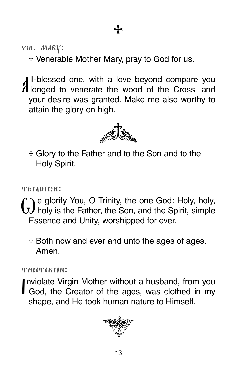ven. mary:

**e** Venerable Mother Mary, pray to God for us.

All-blessed one, with a love beyond compare you<br>Allonged to venerate the wood of the Cross, and your desire was granted. Make me also worthy to attain the glory on high.



**e** Glory to the Father and to the Son and to the Holy Spirit.

TRIADICON:

We glorify You, O Trinity, the one God: Holy, holy, holy is the Father, the Son, and the Spirit, simple Essence and Unity, worshipped for ever.

**e** Both now and ever and unto the ages of ages. Amen.

theotokion:

Inviolate Virgin Mother without a husband, from you **I** God, the Creator of the ages, was clothed in my shape, and He took human nature to Himself.

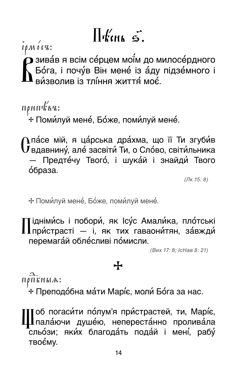## $\prod_{k=1}^{n}$

 $\mathbf \Sigma$ зива́в я всім се́рцем мої́м до милосе́рдного - ...<br>Бо́га, і почу́в Він мене́ із а́ду підзе́много і<br>ви́зволив із тлі́ння життя́ моє́.

 $n\rho$ ип $k$ к $n$ :

\* Поми́луй мене́, Бо́же, поми́луй мене́.

∩па́се мій, я ца́рська дра́хма, що її Ти згуби́в  $\bar{\mathbf{U}}$ вдавнину́, але́ засвіти́ Ти, о Сло́во, світи́льника Предте́чу Твого́, і шука́й і знайди́ Твого о́браза.

 $($ Лк 15:8)

\* Поми́луй мене́, Бо́же, поми́луй мене́.

∏ідніми́сь і побори́, як Ісу́с Амали́ка, пло́тські<br>∏при́страсті — і, як тих гаваони́тян, за́вжди́ перемагай облесливі помисли.

(Вих 17: 8; IcHaв 8: 21)

### ╋

ПРПЕНЫА:

+ Преподо́бна ма́ти Марі́є, моли́ Бо́га за нас.

oб погаси́ти по́лум'я при́страстей, ти, Марі́є, I пала́ючи душе́ю, непереста́нно пролива́ла **г**<br>сльо́зи; яки́х благода́ть пода́й і мені́, рабу́ TBOÉMV.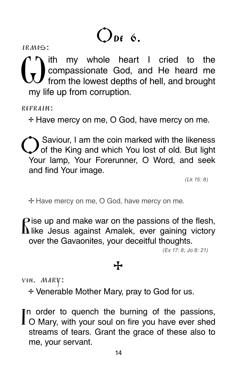# $Q_{\text{DE}}$  6.

 $\binom{1}{x}$  ith my whole heart I cried to the compassionate God, and He heard me compassionate God, and He heard me from the lowest depths of hell, and brought my life up from corruption.

refrain:

**e** Have mercy on me, O God, have mercy on me.

**C**Saviour, I am the coin marked with the likeness of old. But light Your lamp, Your Forerunner, O Word, and seek and find Your image.

(Lk 15: 8)

**e** Have mercy on me, O God, have mercy on me.

 $\mathbf P$  ise up and make war on the passions of the flesh,  $\mathbf{\Lambda}$  like Jesus against Amalek, ever gaining victory over the Gavaonites, your deceitful thoughts.

(Ex 17: 8; Jo 8: 21)

#### **e**

ven. mary:

**e** Venerable Mother Mary, pray to God for us.

In order to quench the burning of the passions,<br>I O Mary, with your soul on fire you have ever shed streams of tears. Grant the grace of these also to me, your servant.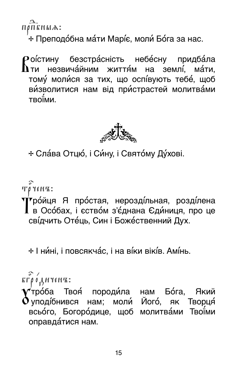$n\rho\overline{n}\overline{\kappa}$ HLIA:

\* Преподо́бна ма́ти Марі́є, моли́ Бо́га за нас.

 $\mathbb P$ о́істину безстра́сність небе́сну придба́ла<br> $\mathbf \Lambda$ ти незвича́йним життя́м на землі́, ма́ти, тому молися за тих, що оспівують тебе, щоб визволитися нам від пристрастей молитвами **TROIMM** 



+ Сла́ва Отцю́, і Си́ну, і Свято́му Ду́хові.

 $\tilde{\mathbf{u}}$   $\mathbf{v}$   $\mathbf{v}$   $\mathbf{v}$   $\mathbf{v}$   $\mathbf{v}$ 

Тробиця Я простая, нерозді́льная, розді́лена<br>Пв Осо́бах, і єство́м з'є́днана Єди́ниця, про це свідчить Отець, Син і Божественний Дух.

+ І ни́ні, і повсякча́с, і на ві́ки вікі́в. Амі́нь.

 $\tilde{\mathbf{r}}$   $\tilde{\mathbf{r}}$   $\rho$   $\delta$   $\mathbf{A}$   $\mu$   $\mathbf{r}$   $\epsilon$   $\mathbf{r}$   $\mathbf{r}$  :

❤ rpó́ба Твоя́ породи́ла нам Бо́га, Який<br>✔ уподі́бнився нам; моли́ Його́, як Творця́ всьо́го, Богоро́дице, щоб молитва́ми Твої́ми оправда́тися нам.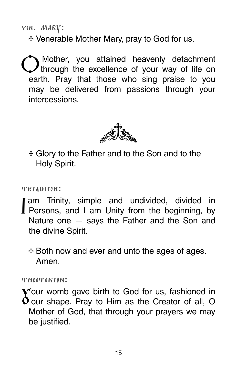ven. mary:

**e** Venerable Mother Mary, pray to God for us.

Ў Mother, you attained heavenly detachment through the excellence of your way of life on earth. Pray that those who sing praise to you may be delivered from passions through your intercessions.



**e** Glory to the Father and to the Son and to the Holy Spirit.

#### triadicon:

- I am Trinity, simple and undivided, divided in<br>I Persons, and I am Unity from the beginning, by Nature one — says the Father and the Son and the divine Spirit.
	- **e** Both now and ever and unto the ages of ages. Amen.

#### theotokion:

Your womb gave birth to God for us, fashioned in  $\Omega$  our shape. Pray to Him as the Creator of all, O Mother of God, that through your prayers we may be justified.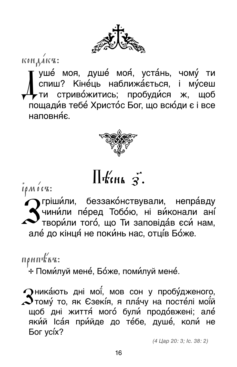

 $K$ <sup>o</sup> $H$  $\overrightarrow{A}$  $K$ <sup> $\overrightarrow{a}$ </sup>:

Гуше́ моя, душе́ моя́, уста́нь, чому́ ти<br>спиш? Кіне́ць наближа́ється, і му́сеш<br>►ти стриво́житись; пробуди́ся ж, щоб пощади́в тебе́ Христо́с Бог, що всю́ди є і все наповня́є.



### $\prod$  Kinh 3.

 $i\rho M$   $\acute{o}$   $cR$  :

У гріши́ли, беззако́нствували, непра́вду<br>Учини́ли пе́ред Тобо́ю, ні ви́конали ані́<br>Твори́ли того́, що Ти заповіда́в єси́ нам, але́до кінця́не поки́нь нас, отці́в Бо́же.

припъка:

,<br>⊹ Поми́луй мене́, Бо́же, поми́луй мене́.

**Дника́ють дні мої**, мов сон у пробу́дженого,  $\boldsymbol{\mathcal{S}}$ тому́ то, як Єзекі́я, я пла́чу на посте́лі мої́й щоб дні життя́ мого́ були́ продо́вжені; але́ який Ісая прийде до те́бе, душе́, коли́ не **Бог усі́х?** 

(4 Цар 20: 3; Іс. 38: 2)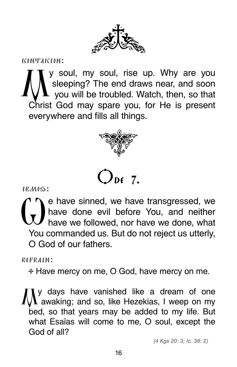

kontakion:

We are you, my soul, rise up. Why are you<br>sleeping? The end draws near, and soon sleeping? The end draws near, and soon you will be troubled. Watch, then, so that Christ God may spare you, for He is present everywhere and fills all things.



IRMUS:  $O_{DE}$  7.

 $\binom{1}{x}$  e have sinned, we have transgressed, we<br>have done evil before You, and neither have done evil before You, and neither have we followed, nor have we done, what You commanded us. But do not reject us utterly, O God of our fathers.

refrain:

**e** Have mercy on me, O God, have mercy on me.

My days have vanished like a dream of one awaking; and so, like Hezekias, I weep on my bed, so that years may be added to my life. But what Esaїas will come to me, O soul, except the God of all?

(4 Kgs 20: 3; Іс. 38: 2)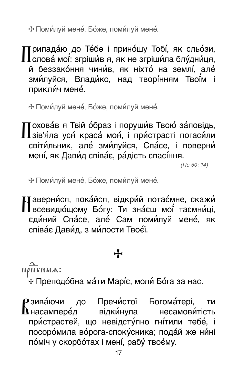\* Поми́луй мене́, Бо́же, поми́луй мене́.

Припада́ю до Те́бе і прино́шу Тобі́, як сльо́зи,<br>Пслова́ мої́: згріши́в я, як не згріши́ла блу́дни́ця, й беззако́ння чини́в, як ніхто́ на землі́, але́ зми́луйся, Влади́ко, над творі́нням Твої́м і прикли́ч мене́.

\* Поми́луй мене́, Бо́же, поми́луй мене́.

Тохова́в я Твій о́браз і поруши́в Твою́ за́повідь, I зів'я́ла уся́ краса́ моя́, і при́страсті погаси́ли світи́льник, але́ зми́луйся, Спа́се, і поверни́ мені, як Дави́д співає, ра́дість спасі́ння.

 $( \Pi c 50: 14)$ 

\* Поми́луй мене́, Бо́же, поми́луй мене́.

∐аверни́ся, пока́йся, відкри́й потає́мне, скажи́<br>∐всевидю́щому Бо́гу: Ти зна́єш мої́ таємни́ці, єдиний Спасе, але Сам поми́луй мене, як співає Дави́д, з ми́лости Твоє́ї.

### ╈

ПОПЕНЫА:

+ Преподо́бна ма́ти Марі́є, моли́ Бо́га за нас.

Рзива́ючи до Пречи́стої Богома́тері, **TM**  $\mathbf h$ насампере́д відки́нула несамови́тість пристрастей, що невідсту́пно гнітили тебе, і посоромила ворога-спокусника; подай же нині поміч у скорботах і мені, рабу твоєму.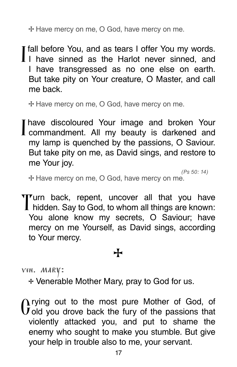**e** Have mercy on me, O God, have mercy on me.

I fall before You, and as tears I offer You my words. I I have sinned as the Harlot never sinned, and I have transgressed as no one else on earth. But take pity on Your creature, O Master, and call me back.

**e** Have mercy on me, O God, have mercy on me.

I have discoloured Your image and broken Your I commandment. All my beauty is darkened and my lamp is quenched by the passions, O Saviour. But take pity on me, as David sings, and restore to me Your joy.

(Ps 50: 14) **e** Have mercy on me, O God, have mercy on me.

Turn back, repent, uncover all that you have hidden. Say to God, to whom all things are known: You alone know my secrets, O Saviour; have mercy on me Yourself, as David sings, according to Your mercy.

### **e**

ven. mary:

**e** Venerable Mother Mary, pray to God for us.

 $\gamma$  rying out to the most pure Mother of God, of **old you drove back the fury of the passions that** violently attacked you, and put to shame the enemy who sought to make you stumble. But give your help in trouble also to me, your servant.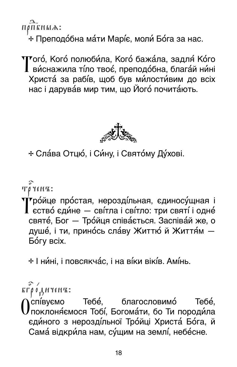ПРПЕНЫА: \* Преподо́бна ма́ти Марі́є, моли́ Бо́га за нас.

 $\mathbf T$ ого́, Кого́ полюби́ла, Кого́ бажа́ла, задля́ Ко́го<br> $\mathbf T$  ви́снажила ті́ло твоє́, преподо́бна, блага́й ни́ні Христа за рабів, щоб був ми́лости́вим до всіх нас і дарува́в мир тим, що Його́ почита́ють.



+ Сла́ва Отцю́, і Си́ну, і Свято́му Ду́хові.

Τργεκπ.

Тробйце простая, нерозді́льная, єдиносу́щная і<br>Тество́ єди́не — сві́тла і сві́тло: три святі́ і одне́ святе́, Бог - Тро́йця співа́ється. Заспіва́й же, о душе́, і ти, прино́сь сла́ву Життю́ й Життя́м -Бо́гу всіх.

+ І ни́ні, і повсякча́с, і на ві́ки вікі́в. Амі́нь.

 $K \Gamma \rho$  o  $A$ HYEHZ:

Cníbyemo Тебе, благословимо Тебе́. Локлоняємося Тобі, Богомати, бо Ти породи́ла єдиного з нероздільної Тройці Христа Бога, й Сама відкри́ла нам. су́щим на землі́, небе́сне.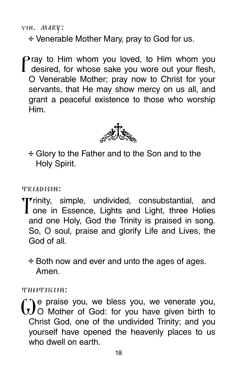ven. mary:

**e** Venerable Mother Mary, pray to God for us.

Pray to Him whom you loved, to Him whom you desired, for whose sake you wore out your flesh, O Venerable Mother; pray now to Christ for your servants, that He may show mercy on us all, and grant a peaceful existence to those who worship Him.



**e** Glory to the Father and to the Son and to the Holy Spirit.

#### triadicon:

**T**rinity, simple, undivided, consubstantial, and<br> **T** one in Essence, Lights and Light, three Holies and one Holy, God the Trinity is praised in song. So, O soul, praise and glorify Life and Lives, the God of all.

**e** Both now and ever and unto the ages of ages. Amen.

#### theotokion:

We praise you, we bless you, we venerate you, O Mother of God: for you have given birth to Christ God, one of the undivided Trinity; and you yourself have opened the heavenly places to us who dwell on earth.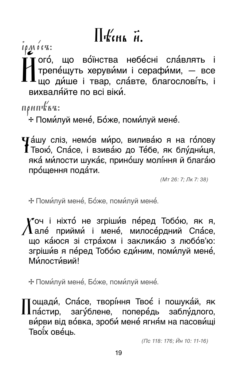## $\prod$   $\mathcal{H}'$  (Hk  $\overrightarrow{H}$ ).

 $I \rho M$   $O \Gamma$ .

гого́, що во́їнства небе́сні сла́влять і трепе́щуть херуви́ми і серафи́ми, — все<br>що ди́ше і твар, сла́вте, благослові́ть, і вихваля́йте по всі віки́.

 $n\rho$ ип $k$ въ:

\* Поми́луй мене́, Бо́же, поми́луй мене́.

 $\mathbf\Psi$ а́шу сліз, немо́в ми́ро, вилива́ю я на го́лову Г Твою́, Спа́се, і взива́ю до Те́бе, як блу́дни́ця, яка́ ми́лости шука́є, прино́шу молі́ння й блага́ю прощення подати.

 $(MT 26: 7: \pi K 7: 38)$ 

\* Поми́луй мене́, Бо́же, поми́луй мене́.

**ү″**оч і ніхто́ не згріши́в пе́ред Тобо́ю, як я,  $\bf{1}$ але́ прийми́ і мене́, милосе́рдний Спа́се, що ка́юся зі стра́хом і заклика́ю з любо́в'ю: згріши́в я пе́ред Тобо́ю єди́ним, поми́луй мене́, **Ми́пости́вий!** 

\* Поми́луй мене́, Бо́же, поми́луй мене́.

Тощади́, Спа́се, творі́ння Твоє́ і пошука́й, як Лпа́стир, загу́блене, попере́дь заблу́длого, ви́рви від во́вка, зроби́ мене́ ягня́м на пасови́щі Твоїх ове́ць.

(Пс 118: 176; Йн 10: 11-16)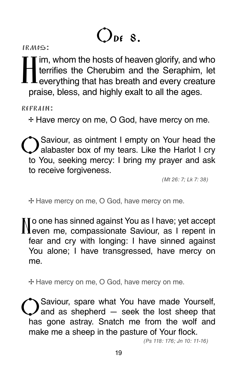# $Q_{\text{DE}}$  8.

I im, whom the hosts of heaven glorify, and who<br>terrifies the Cherubim and the Seraphim, let<br>overything that has broath and overy creature terrifies the Cherubim and the Seraphim, let  $\mathsf L$  everything that has breath and every creature praise, bless, and highly exalt to all the ages.

refrain:

**e** Have mercy on me, O God, have mercy on me.

Saviour, as ointment I empty on Your head the alabaster box of my tears. Like the Harlot I cry to You, seeking mercy: I bring my prayer and ask to receive forgiveness.

(Mt 26: 7; Lk 7: 38)

**e** Have mercy on me, O God, have mercy on me.

To one has sinned against You as I have; yet accept even me, compassionate Saviour, as I repent in fear and cry with longing: I have sinned against You alone; I have transgressed, have mercy on me.

**e** Have mercy on me, O God, have mercy on me.

Saviour, spare what You have made Yourself, and as shepherd — seek the lost sheep that has gone astray. Snatch me from the wolf and make me a sheep in the pasture of Your flock.

(Ps 118: 176; Jn 10: 11-16)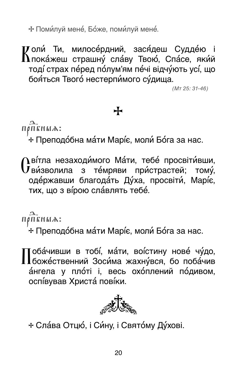\* Поми́луй мене́, Бо́же, поми́луй мене́.

И оли́ Ти, милосе́рдний, зася́деш Судде́ю і<br>Лпока́жеш страшну́ сла́ву Твою́, Спа́се, яки́й тоді́ страх пе́ред по́лум'ям пе́чі відчу́ють усі́, що бояться Твого нестерпимого судища.

 $(MT 25: 31-46)$ 

### $\div$

ПОПЕНЫА:

+ Преподо́бна ма́ти Марі́є, моли́ Бо́га за нас.

 $\Lambda$ ві́тла незаходи́мого Ма́ти, тебе́ просвіти́вши,  $\bf{U}$ ви́зволила з те́мряви при́страстей; тому́, оде́ржавши благода́ть Ду́ха, просвіти́, Маріє, тих, що з вірою сла́влять тебе́.

#### ПОПЕНЫА:

+ Преподо́бна ма́ти Марі́є, моли́ Бо́га за нас.

Тоба́чивши в тобі́, ма́ти, воі́стину нове́ чу́до, I Гбоже́ственний Зоси́ма жахну́вся, бо поба́чив ангела у пло́ті і, весь охо́плений по́дивом, оспівував Христа повіки.



+ Сла́ва Отцю́, і Си́ну, і Свято́му Ду́хові.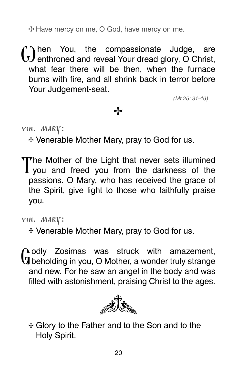**e** Have mercy on me, O God, have mercy on me.

(i) hen You, the compassionate Judge, are<br>enthroned and reveal Your dread glory, O Christ, what fear there will be then, when the furnace burns with fire, and all shrink back in terror before Your Judgement-seat.

(Mt 25: 31-46)

#### $\div$

ven. mary:

**e** Venerable Mother Mary, pray to God for us.

The Mother of the Light that never sets illumined<br>I you and freed you from the darkness of the passions. O Mary, who has received the grace of the Spirit, give light to those who faithfully praise you.

**e** Venerable Mother Mary, pray to God for us.

 $\Omega$  odly Zosimas was struck with amazement,  **beholding in you, O Mother, a wonder truly strange** and new. For he saw an angel in the body and was filled with astonishment, praising Christ to the ages.



**e** Glory to the Father and to the Son and to the Holy Spirit.

ven. mary: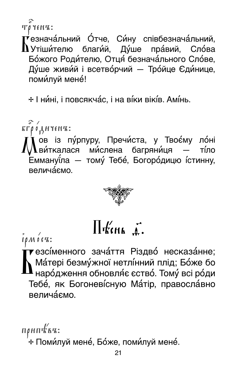Τρ ΥεΝΊΣ:

<sup>,</sup> езнача́льний О́тче, Си́ну співбезнача́льний,  $\mathbf \Lambda$ Утіши́телю благи́й, Ду́ше пра́вий, Сло́ва Божого Родителю, Отця безначального Слове, Ду́ше живи́й і всетво́рчий — Тро́йце Єди́нице, поми́луй мене́!

+ І ни́ні, і повсякча́с, і на ві́ки вікі́в. Амі́нь.

 $\tilde{\mathbf{r}}$  г $\tilde{\boldsymbol{\rho}}$  о́  $\tilde{\mathbf{A}}$  ичениз:

,<br>Дов із пу́рпуру, Пречи́ста, у Твоє́му ло́ні<br>Дви́ткалася ми́слена багряни́ця — ті́ло ,<br>Еммануї́ла — тому́ Тебе́, Богоро́дицю і́стинну, велича́ємо.



### $\prod$ Kena  $\Gamma$ .

 $I \rho M$   $0$   $C$ <sup> $K$ </sup>:

,<br>▼езсі́менного зача́ття Різдво́ несказа́нне;<br>Ŋ Ма́тері безму́жної нетлі́нний плід; Бо́же бо  $\blacksquare$ наро́дження обновля́є єство́. Тому́ всі ро́ди Тебе, як Богоневісную Матір, правосла́вно **BANAJÁCMO** 

 $n\rho$ ип $k$ ва: \* Поми́луй мене́, Бо́же, поми́луй мене́.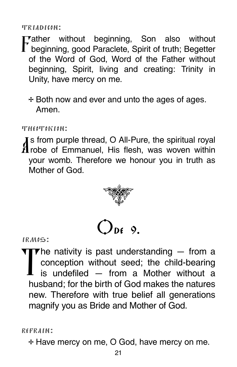TRIADICON:

**Tather** without beginning, Son also without  $\mathbf I$  beginning, good Paraclete, Spirit of truth; Begetter of the Word of God, Word of the Father without beginning, Spirit, living and creating: Trinity in Unity, have mercy on me.

+ Both now and ever and unto the ages of ages. Amen

THEOTOKION:

**J** s from purple thread, O All-Pure, the spiritual royal  $\boldsymbol{H}$ robe of Emmanuel, His flesh, was woven within your womb. Therefore we honour you in truth as Mother of God





IRMOS:

 $\nabla$  he nativity is past understanding  $-$  from a conception without seed; the child-bearing is undefiled  $-$  from a Mother without a husband: for the birth of God makes the natures new. Therefore with true belief all generations magnify you as Bride and Mother of God.

REFRAIN:

\* Have mercy on me, O God, have mercy on me.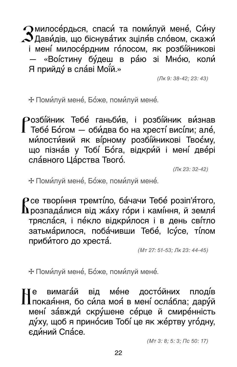$\bigcap$ милосе́рдься, спаси́ та поми́луй мене́, Си́ну  $\mathcal{\mathcal{\mathcal{S}}}$ Дави́дів, що біснува́тих зціля́в сло́вом, скажи́ і мені милосе́рдним го́лосом, як розбі́йникові «Воїстину бу́деш в ра́ю зі Мно́ю, коли́ Я прийду́ в сла́ві Мої́й.»

 $(\Pi K 9: 38 - 42: 23: 43)$ 

\* Поми́луй мене́, Бо́же, поми́луй мене́.

Розбійник Тебе́ ганьби́в, і розбі́йник ви́знав Тебе́ Бо́гом - оби́два бо на хресті́ висі́ли; але́, ми́лости́вий як ві́рному розбі́йникові Твоє́му, що пізнає у Тобі Бо́га, відкрий і мені две́рі сла́вного Ца́рства Твого́.

(Лк 23: 32-42)

\* Поми́луй мене́, Бо́же, поми́луй мене́.

 $\boldsymbol{\rho}$ се творі́ння тремті́ло, ба́чачи Тебе́ розіп'я́того.  ${\bf h}$ розпада́лися від жа́ху го́ри і камі́ння, й земля́ тряслася, і пекло відкри́лося і в день світло затьма́рилося, поба́чивши Тебе́, Ісу́се, ті́лом приби́того до хреста́.

 $(MT 27: 51-53; JK 23: 44-45)$ 

\* Поми́луй мене́, Бо́же, поми́луй мене́.

вимага́й від ме́не досто́йних плодів Ллокая́ння, бо си́ла моя́ в мені́ осла́бла; дару́й мені завжди скрушене серце й смиренність ду́ху, щоб я приносив Тобі́це як же́ртву уго́дну, єдиний Спасе.

 $(MT 3: 8; 5: 3; \Pi c 50: 17)$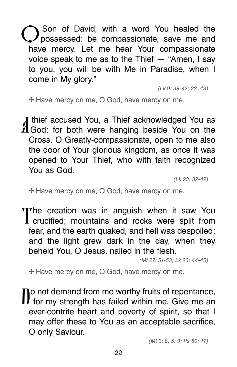Son of David, with a word You healed the possessed: be compassionate, save me and have mercy. Let me hear Your compassionate voice speak to me as to the Thief — "Amen, I say to you, you will be with Me in Paradise, when I come in My glory."

(Lk 9: 38-42; 23: 43)

**e** Have mercy on me, O God, have mercy on me.

I thief accused You, a Thief acknowledged You as  $\boldsymbol{\mathrm{M}}$  God: for both were hanging beside You on the Cross. O Greatly-compassionate, open to me also the door of Your glorious kingdom, as once it was opened to Your Thief, who with faith recognized You as God.

(Lk 23: 32-42)

**e** Have mercy on me, O God, have mercy on me.

The creation was in anguish when it saw You I crucified; mountains and rocks were split from fear, and the earth quaked, and hell was despoiled; and the light grew dark in the day, when they beheld You, O Jesus, nailed in the flesh.

(Mt 27: 51-53; Lk 23: 44-45)

**e** Have mercy on me, O God, have mercy on me.

**To not demand from me worthy fruits of repentance, for my strength has failed within me. Give me an** ever-contrite heart and poverty of spirit, so that I may offer these to You as an acceptable sacrifice, O only Saviour.

(Mt 3: 8; 5: 3; Ps 50: 17)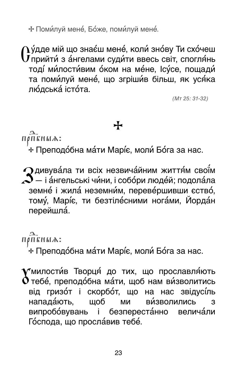\* Поми́луй мене́, Бо́же, поми́луй мене́.

 $\gamma$ у́дде мій що знає́ш мене́, коли́ зно́ву Ти схо́чеш  ${\bf U}$ прийти́ з а́нгелами суди́ти ввесь світ, спогля́нь тоді ми́лости́вим о́ком на ме́не, Ісу́се, пощади́ та поми́луй мене́, що згріши́в більш, як уся́ка лю́дська́ істо́та.

 $(MT 25: 31-32)$ 

### ╈

ПОПЕНЫА:

+ Преподо́бна ма́ти Марі́є, моли́ Бо́га за нас.

 $\Omega$ дивува́ла ти всіх незвича́йним життя́м свої́м  $\mathbf{\Im}_{-}$  і а́нгельські чи́ни, і собо́ри люде́й; подола́ла земне і жила неземним, перевершивши єство, тому, Маріє, ти безтілесними ногами, Йордан перейшла.

### ПОПЕНЫА:

+ Преподо́бна ма́ти Марі́є, моли́ Бо́га за нас.

у милости́в Творця́ до тих, що прославля́ють  $\boldsymbol{\mathsf{\hat{O}}}$ тебе́, преподо́бна ма́ти, щоб нам ви́зволитись від гризо́т і скорбо́т, що на нас звідусіль напада́ють. шоб МИ **ВИЗВОЛИЛИСЬ** 3 випробо́вувань і безпереста́нно велича́ли Господа, що прославив тебе.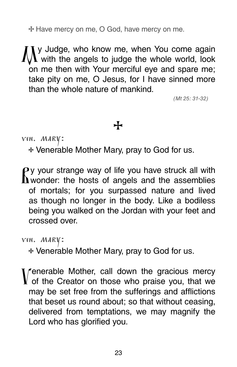**e** Have mercy on me, O God, have mercy on me.

**IV** Judge, who know me, when You come again with the angels to judge the whole world, look on me then with Your merciful eye and spare me; take pity on me, O Jesus, for I have sinned more than the whole nature of mankind.

(Mt 25: 31-32)

#### **e**

ven. mary:

**e** Venerable Mother Mary, pray to God for us.

 $\mathbf{P}$ y your strange way of life you have struck all with  $\mathbf \Lambda$  wonder: the hosts of angels and the assemblies of mortals; for you surpassed nature and lived as though no longer in the body. Like a bodiless being you walked on the Jordan with your feet and crossed over.

ven. mary:

**e** Venerable Mother Mary, pray to God for us.

Venerable Mother, call down the gracious mercy  $\bf{V}$  of the Creator on those who praise you, that we may be set free from the sufferings and afflictions that beset us round about; so that without ceasing, delivered from temptations, we may magnify the Lord who has glorified you.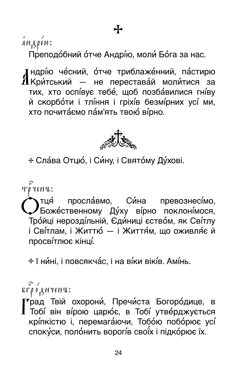$\hat{A}H_{1}$ ρέω:

Преподобний отче Андрію, моли Бога за нас.

А Критський — не переставай молитися за  $\boldsymbol{J}$ ндрі́ю че́сний, о́тче триблаже́нний, па́стирю тих, хто оспівує тебе, щоб позбавилися гніву й скорботи і тління і гріхів безмірних усі ми, хто почитаємо пам'ять твою вірно.



**e** Слава Отцю, і Си ну, і Святому Духові.

 $\mathbf{T}\boldsymbol{\theta}$   $\mathbf{Y}\boldsymbol{\epsilon}$   $\mathbf{H}\mathbf{Z}$ :

Отця́ просла́вмо, Си́на превознесі́мо,<br>Боже́ственному Ду́ху ві́рно поклоні́мося, Тройці нероздільній, Єдиниці єством, як Світлу і Сві́тлам, і Життю́ — і Життя́м, що оживля́є й просвітлює кінці.

**e** І нині, і повсякчас, і на віки віків. Амінь.

бг bр0диченъ:

Г Тобі він вірою царює, в Тобі утверджується  $\bar{\mathbf{r}}$ рад Твій охорони́, Пречи́ста Богоро́дице, в кріпкістю і, перемагаючи, Тобою поборює усі спокуси, полонить ворогів своїх і підкорює їх.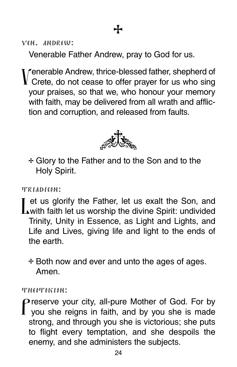ven. andrew:

Venerable Father Andrew, pray to God for us.

Venerable Andrew, thrice-blessed father, shepherd of Crete, do not cease to offer prayer for us who sing your praises, so that we, who honour your memory with faith, may be delivered from all wrath and affliction and corruption, and released from faults.



**e** Glory to the Father and to the Son and to the Holy Spirit.

triadicon:

I et us glorify the Father, let us exalt the Son, and **L**with faith let us worship the divine Spirit: undivided Trinity, Unity in Essence, as Light and Lights, and Life and Lives, giving life and light to the ends of the earth.

**e** Both now and ever and unto the ages of ages. Amen.

theotokion:

Preserve your city, all-pure Mother of God. For by you she reigns in faith, and by you she is made strong, and through you she is victorious; she puts to flight every temptation, and she despoils the enemy, and she administers the subjects.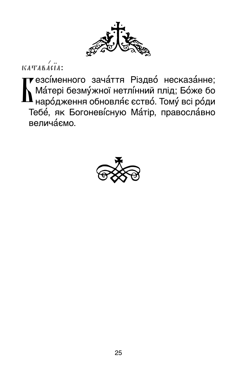

 $KATABA\left(1\right)$ 

▼езсі́менного зача́ття Різдво несказа́нне; Ма́тері безму́жної нетлі́нний плід; Бо́же бо  $\mathbf{l}$  наро́дження обновля́є єство́. Тому́ всі ро́ди Тебе, як Богоневісную Матір, православно велича́ємо.

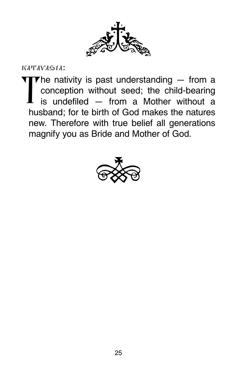

katavasia:

The nativity is past understanding — from a<br>conception without seed; the child-bearing<br>is undefiled from a Mether without a conception without seed; the child-bearing is undefiled — from a Mother without a husband; for te birth of God makes the natures new. Therefore with true belief all generations magnify you as Bride and Mother of God.